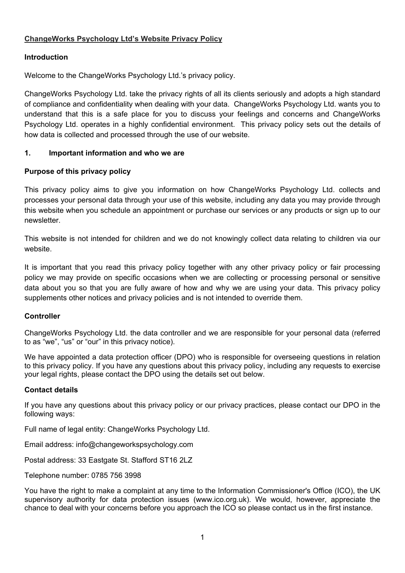# **ChangeWorks Psychology Ltd's Website Privacy Policy**

# **Introduction**

Welcome to the ChangeWorks Psychology Ltd.'s privacy policy.

ChangeWorks Psychology Ltd. take the privacy rights of all its clients seriously and adopts a high standard of compliance and confidentiality when dealing with your data. ChangeWorks Psychology Ltd. wants you to understand that this is a safe place for you to discuss your feelings and concerns and ChangeWorks Psychology Ltd. operates in a highly confidential environment. This privacy policy sets out the details of how data is collected and processed through the use of our website.

## **1. Important information and who we are**

## **Purpose of this privacy policy**

This privacy policy aims to give you information on how ChangeWorks Psychology Ltd. collects and processes your personal data through your use of this website, including any data you may provide through this website when you schedule an appointment or purchase our services or any products or sign up to our newsletter.

This website is not intended for children and we do not knowingly collect data relating to children via our website.

It is important that you read this privacy policy together with any other privacy policy or fair processing policy we may provide on specific occasions when we are collecting or processing personal or sensitive data about you so that you are fully aware of how and why we are using your data. This privacy policy supplements other notices and privacy policies and is not intended to override them.

## **Controller**

ChangeWorks Psychology Ltd. the data controller and we are responsible for your personal data (referred to as "we", "us" or "our" in this privacy notice).

We have appointed a data protection officer (DPO) who is responsible for overseeing questions in relation to this privacy policy. If you have any questions about this privacy policy, including any requests to exercise your legal rights, please contact the DPO using the details set out below.

## **Contact details**

If you have any questions about this privacy policy or our privacy practices, please contact our DPO in the following ways:

Full name of legal entity: ChangeWorks Psychology Ltd.

Email address: info@changeworkspsychology.com

Postal address: 33 Eastgate St. Stafford ST16 2LZ

Telephone number: 0785 756 3998

You have the right to make a complaint at any time to the Information Commissioner's Office (ICO), the UK supervisory authority for data protection issues (www.ico.org.uk). We would, however, appreciate the chance to deal with your concerns before you approach the ICO so please contact us in the first instance.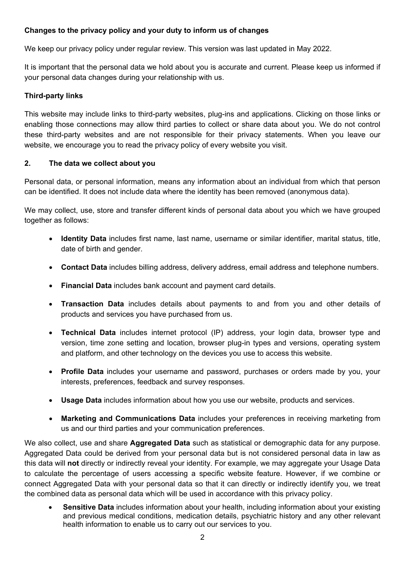# **Changes to the privacy policy and your duty to inform us of changes**

We keep our privacy policy under regular review. This version was last updated in May 2022.

It is important that the personal data we hold about you is accurate and current. Please keep us informed if your personal data changes during your relationship with us.

# **Third-party links**

This website may include links to third-party websites, plug-ins and applications. Clicking on those links or enabling those connections may allow third parties to collect or share data about you. We do not control these third-party websites and are not responsible for their privacy statements. When you leave our website, we encourage you to read the privacy policy of every website you visit.

## **2. The data we collect about you**

Personal data, or personal information, means any information about an individual from which that person can be identified. It does not include data where the identity has been removed (anonymous data).

We may collect, use, store and transfer different kinds of personal data about you which we have grouped together as follows:

- **Identity Data** includes first name, last name, username or similar identifier, marital status, title, date of birth and gender.
- **Contact Data** includes billing address, delivery address, email address and telephone numbers.
- **Financial Data** includes bank account and payment card details.
- **Transaction Data** includes details about payments to and from you and other details of products and services you have purchased from us.
- **Technical Data** includes internet protocol (IP) address, your login data, browser type and version, time zone setting and location, browser plug-in types and versions, operating system and platform, and other technology on the devices you use to access this website.
- **Profile Data** includes your username and password, purchases or orders made by you, your interests, preferences, feedback and survey responses.
- **Usage Data** includes information about how you use our website, products and services.
- **Marketing and Communications Data** includes your preferences in receiving marketing from us and our third parties and your communication preferences.

We also collect, use and share **Aggregated Data** such as statistical or demographic data for any purpose. Aggregated Data could be derived from your personal data but is not considered personal data in law as this data will **not** directly or indirectly reveal your identity. For example, we may aggregate your Usage Data to calculate the percentage of users accessing a specific website feature. However, if we combine or connect Aggregated Data with your personal data so that it can directly or indirectly identify you, we treat the combined data as personal data which will be used in accordance with this privacy policy.

• **Sensitive Data** includes information about your health, including information about your existing and previous medical conditions, medication details, psychiatric history and any other relevant health information to enable us to carry out our services to you.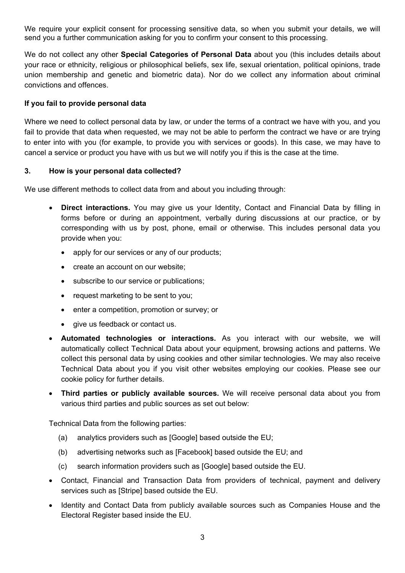We require your explicit consent for processing sensitive data, so when you submit your details, we will send you a further communication asking for you to confirm your consent to this processing.

We do not collect any other **Special Categories of Personal Data** about you (this includes details about your race or ethnicity, religious or philosophical beliefs, sex life, sexual orientation, political opinions, trade union membership and genetic and biometric data). Nor do we collect any information about criminal convictions and offences.

### **If you fail to provide personal data**

Where we need to collect personal data by law, or under the terms of a contract we have with you, and you fail to provide that data when requested, we may not be able to perform the contract we have or are trying to enter into with you (for example, to provide you with services or goods). In this case, we may have to cancel a service or product you have with us but we will notify you if this is the case at the time.

### **3. How is your personal data collected?**

We use different methods to collect data from and about you including through:

- **Direct interactions.** You may give us your Identity, Contact and Financial Data by filling in forms before or during an appointment, verbally during discussions at our practice, or by corresponding with us by post, phone, email or otherwise. This includes personal data you provide when you:
	- apply for our services or any of our products;
	- create an account on our website;
	- subscribe to our service or publications;
	- request marketing to be sent to you;
	- enter a competition, promotion or survey; or
	- give us feedback or contact us.
- **Automated technologies or interactions.** As you interact with our website, we will automatically collect Technical Data about your equipment, browsing actions and patterns. We collect this personal data by using cookies and other similar technologies. We may also receive Technical Data about you if you visit other websites employing our cookies. Please see our cookie policy for further details.
- **Third parties or publicly available sources.** We will receive personal data about you from various third parties and public sources as set out below:

Technical Data from the following parties:

- (a) analytics providers such as [Google] based outside the EU;
- (b) advertising networks such as [Facebook] based outside the EU; and
- (c) search information providers such as [Google] based outside the EU.
- Contact, Financial and Transaction Data from providers of technical, payment and delivery services such as [Stripe] based outside the EU.
- Identity and Contact Data from publicly available sources such as Companies House and the Electoral Register based inside the EU.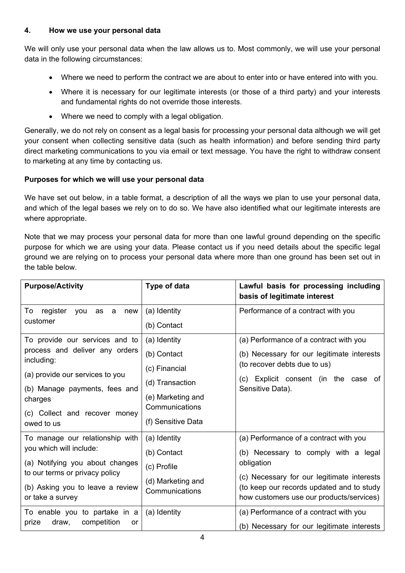### **4. How we use your personal data**

We will only use your personal data when the law allows us to. Most commonly, we will use your personal data in the following circumstances:

- Where we need to perform the contract we are about to enter into or have entered into with you.
- Where it is necessary for our legitimate interests (or those of a third party) and your interests and fundamental rights do not override those interests.
- Where we need to comply with a legal obligation.

Generally, we do not rely on consent as a legal basis for processing your personal data although we will get your consent when collecting sensitive data (such as health information) and before sending third party direct marketing communications to you via email or text message. You have the right to withdraw consent to marketing at any time by contacting us.

## **Purposes for which we will use your personal data**

We have set out below, in a table format, a description of all the ways we plan to use your personal data, and which of the legal bases we rely on to do so. We have also identified what our legitimate interests are where appropriate.

Note that we may process your personal data for more than one lawful ground depending on the specific purpose for which we are using your data. Please contact us if you need details about the specific legal ground we are relying on to process your personal data where more than one ground has been set out in the table below.

| <b>Purpose/Activity</b>                                                                                                                                                                                      | Type of data                                                                                                                 | Lawful basis for processing including<br>basis of legitimate interest                                                                                                                                                               |
|--------------------------------------------------------------------------------------------------------------------------------------------------------------------------------------------------------------|------------------------------------------------------------------------------------------------------------------------------|-------------------------------------------------------------------------------------------------------------------------------------------------------------------------------------------------------------------------------------|
| register<br>To<br>you<br>as<br>a,<br>new<br>customer                                                                                                                                                         | (a) Identity<br>(b) Contact                                                                                                  | Performance of a contract with you                                                                                                                                                                                                  |
| To provide our services and to<br>process and deliver any orders<br>including:<br>(a) provide our services to you<br>(b) Manage payments, fees and<br>charges<br>(c) Collect and recover money<br>owed to us | (a) Identity<br>(b) Contact<br>(c) Financial<br>(d) Transaction<br>(e) Marketing and<br>Communications<br>(f) Sensitive Data | (a) Performance of a contract with you<br>(b) Necessary for our legitimate interests<br>(to recover debts due to us)<br>(c) Explicit consent (in the case of<br>Sensitive Data).                                                    |
| To manage our relationship with<br>you which will include:<br>(a) Notifying you about changes<br>to our terms or privacy policy<br>(b) Asking you to leave a review<br>or take a survey                      | (a) Identity<br>(b) Contact<br>(c) Profile<br>(d) Marketing and<br>Communications                                            | (a) Performance of a contract with you<br>(b) Necessary to comply with a legal<br>obligation<br>(c) Necessary for our legitimate interests<br>(to keep our records updated and to study<br>how customers use our products/services) |
| To enable you to partake in a<br>draw,<br>competition<br>prize<br>or                                                                                                                                         | (a) Identity                                                                                                                 | (a) Performance of a contract with you<br>(b) Necessary for our legitimate interests                                                                                                                                                |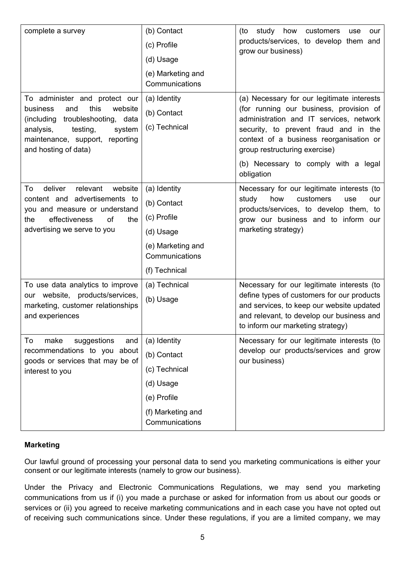| complete a survey<br>To administer and protect our<br>this<br>business<br>and<br>website<br>troubleshooting, data<br>(including<br>testing,<br>analysis,<br>system<br>maintenance, support, reporting | (b) Contact<br>(c) Profile<br>(d) Usage<br>(e) Marketing and<br>Communications<br>(a) Identity<br>(b) Contact<br>(c) Technical | (to<br>study<br>how<br>customers<br>use<br>our<br>products/services, to develop them and<br>grow our business)<br>(a) Necessary for our legitimate interests<br>(for running our business, provision of<br>administration and IT services, network<br>security, to prevent fraud and in the<br>context of a business reorganisation or |
|-------------------------------------------------------------------------------------------------------------------------------------------------------------------------------------------------------|--------------------------------------------------------------------------------------------------------------------------------|----------------------------------------------------------------------------------------------------------------------------------------------------------------------------------------------------------------------------------------------------------------------------------------------------------------------------------------|
| and hosting of data)                                                                                                                                                                                  |                                                                                                                                | group restructuring exercise)<br>(b) Necessary to comply with a legal<br>obligation                                                                                                                                                                                                                                                    |
| deliver<br>relevant<br>website<br>To<br>content and advertisements to<br>you and measure or understand<br>effectiveness<br>of<br>the<br>the<br>advertising we serve to you                            | (a) Identity<br>(b) Contact<br>(c) Profile<br>(d) Usage<br>(e) Marketing and<br>Communications<br>(f) Technical                | Necessary for our legitimate interests (to<br>study<br>customers<br>how<br>use<br>our<br>products/services, to develop them, to<br>grow our business and to inform our<br>marketing strategy)                                                                                                                                          |
| To use data analytics to improve<br>our website, products/services,<br>marketing, customer relationships<br>and experiences                                                                           | (a) Technical<br>(b) Usage                                                                                                     | Necessary for our legitimate interests (to<br>define types of customers for our products<br>and services, to keep our website updated<br>and relevant, to develop our business and<br>to inform our marketing strategy)                                                                                                                |
| To<br>make<br>suggestions<br>and<br>recommendations to you about<br>goods or services that may be of<br>interest to you                                                                               | (a) Identity<br>(b) Contact<br>(c) Technical<br>(d) Usage<br>(e) Profile<br>(f) Marketing and<br>Communications                | Necessary for our legitimate interests (to<br>develop our products/services and grow<br>our business)                                                                                                                                                                                                                                  |

## **Marketing**

Our lawful ground of processing your personal data to send you marketing communications is either your consent or our legitimate interests (namely to grow our business).

Under the Privacy and Electronic Communications Regulations, we may send you marketing communications from us if (i) you made a purchase or asked for information from us about our goods or services or (ii) you agreed to receive marketing communications and in each case you have not opted out of receiving such communications since. Under these regulations, if you are a limited company, we may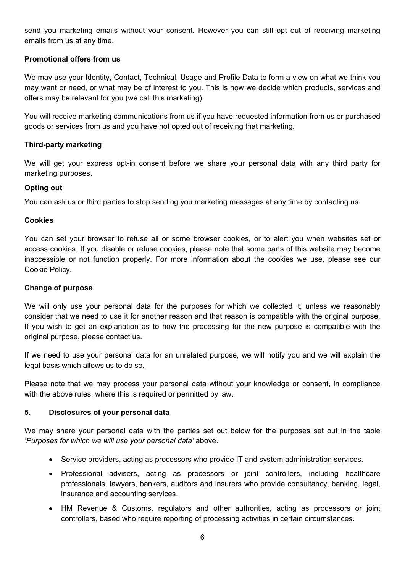send you marketing emails without your consent. However you can still opt out of receiving marketing emails from us at any time.

## **Promotional offers from us**

We may use your Identity, Contact, Technical, Usage and Profile Data to form a view on what we think you may want or need, or what may be of interest to you. This is how we decide which products, services and offers may be relevant for you (we call this marketing).

You will receive marketing communications from us if you have requested information from us or purchased goods or services from us and you have not opted out of receiving that marketing.

### **Third-party marketing**

We will get your express opt-in consent before we share your personal data with any third party for marketing purposes.

### **Opting out**

You can ask us or third parties to stop sending you marketing messages at any time by contacting us.

### **Cookies**

You can set your browser to refuse all or some browser cookies, or to alert you when websites set or access cookies. If you disable or refuse cookies, please note that some parts of this website may become inaccessible or not function properly. For more information about the cookies we use, please see our Cookie Policy.

### **Change of purpose**

We will only use your personal data for the purposes for which we collected it, unless we reasonably consider that we need to use it for another reason and that reason is compatible with the original purpose. If you wish to get an explanation as to how the processing for the new purpose is compatible with the original purpose, please contact us.

If we need to use your personal data for an unrelated purpose, we will notify you and we will explain the legal basis which allows us to do so.

Please note that we may process your personal data without your knowledge or consent, in compliance with the above rules, where this is required or permitted by law.

### **5. Disclosures of your personal data**

We may share your personal data with the parties set out below for the purposes set out in the table '*Purposes for which we will use your personal data'* above.

- Service providers, acting as processors who provide IT and system administration services.
- Professional advisers, acting as processors or joint controllers, including healthcare professionals, lawyers, bankers, auditors and insurers who provide consultancy, banking, legal, insurance and accounting services.
- HM Revenue & Customs, regulators and other authorities, acting as processors or joint controllers, based who require reporting of processing activities in certain circumstances.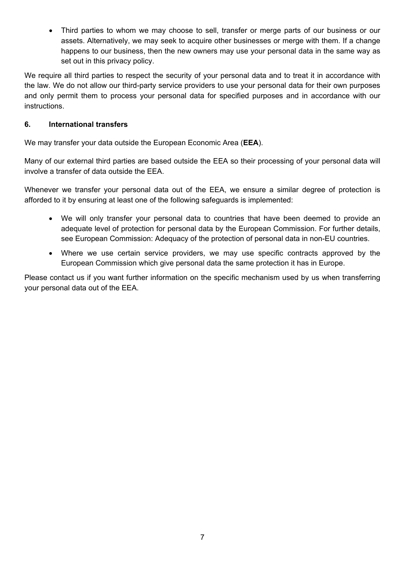• Third parties to whom we may choose to sell, transfer or merge parts of our business or our assets. Alternatively, we may seek to acquire other businesses or merge with them. If a change happens to our business, then the new owners may use your personal data in the same way as set out in this privacy policy.

We require all third parties to respect the security of your personal data and to treat it in accordance with the law. We do not allow our third-party service providers to use your personal data for their own purposes and only permit them to process your personal data for specified purposes and in accordance with our instructions.

### **6. International transfers**

We may transfer your data outside the European Economic Area (**EEA**).

Many of our external third parties are based outside the EEA so their processing of your personal data will involve a transfer of data outside the EEA.

Whenever we transfer your personal data out of the EEA, we ensure a similar degree of protection is afforded to it by ensuring at least one of the following safeguards is implemented:

- We will only transfer your personal data to countries that have been deemed to provide an adequate level of protection for personal data by the European Commission. For further details, see European Commission: Adequacy of the protection of personal data in non-EU countries.
- Where we use certain service providers, we may use specific contracts approved by the European Commission which give personal data the same protection it has in Europe.

Please contact us if you want further information on the specific mechanism used by us when transferring your personal data out of the EEA.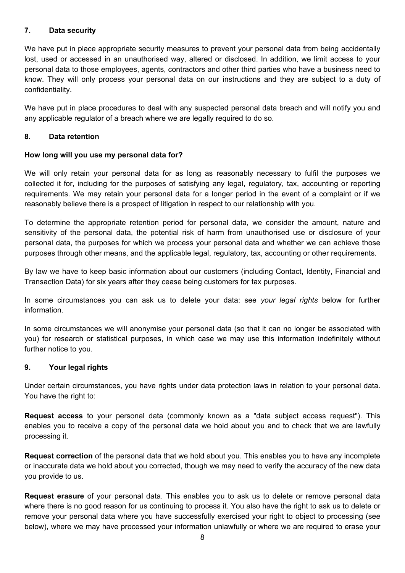## **7. Data security**

We have put in place appropriate security measures to prevent your personal data from being accidentally lost, used or accessed in an unauthorised way, altered or disclosed. In addition, we limit access to your personal data to those employees, agents, contractors and other third parties who have a business need to know. They will only process your personal data on our instructions and they are subject to a duty of confidentiality.

We have put in place procedures to deal with any suspected personal data breach and will notify you and any applicable regulator of a breach where we are legally required to do so.

### **8. Data retention**

### **How long will you use my personal data for?**

We will only retain your personal data for as long as reasonably necessary to fulfil the purposes we collected it for, including for the purposes of satisfying any legal, regulatory, tax, accounting or reporting requirements. We may retain your personal data for a longer period in the event of a complaint or if we reasonably believe there is a prospect of litigation in respect to our relationship with you.

To determine the appropriate retention period for personal data, we consider the amount, nature and sensitivity of the personal data, the potential risk of harm from unauthorised use or disclosure of your personal data, the purposes for which we process your personal data and whether we can achieve those purposes through other means, and the applicable legal, regulatory, tax, accounting or other requirements.

By law we have to keep basic information about our customers (including Contact, Identity, Financial and Transaction Data) for six years after they cease being customers for tax purposes.

In some circumstances you can ask us to delete your data: see *your legal rights* below for further information.

In some circumstances we will anonymise your personal data (so that it can no longer be associated with you) for research or statistical purposes, in which case we may use this information indefinitely without further notice to you.

### **9. Your legal rights**

Under certain circumstances, you have rights under data protection laws in relation to your personal data. You have the right to:

**Request access** to your personal data (commonly known as a "data subject access request"). This enables you to receive a copy of the personal data we hold about you and to check that we are lawfully processing it.

**Request correction** of the personal data that we hold about you. This enables you to have any incomplete or inaccurate data we hold about you corrected, though we may need to verify the accuracy of the new data you provide to us.

**Request erasure** of your personal data. This enables you to ask us to delete or remove personal data where there is no good reason for us continuing to process it. You also have the right to ask us to delete or remove your personal data where you have successfully exercised your right to object to processing (see below), where we may have processed your information unlawfully or where we are required to erase your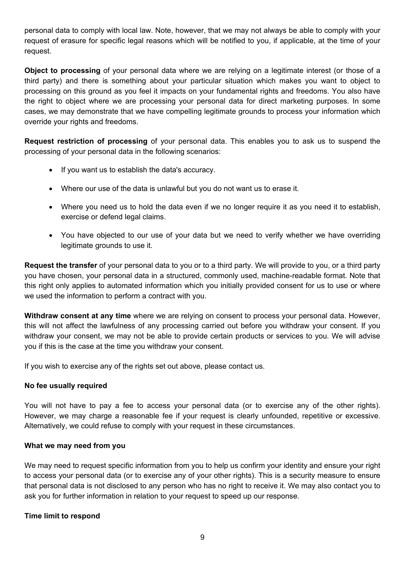personal data to comply with local law. Note, however, that we may not always be able to comply with your request of erasure for specific legal reasons which will be notified to you, if applicable, at the time of your request.

**Object to processing** of your personal data where we are relying on a legitimate interest (or those of a third party) and there is something about your particular situation which makes you want to object to processing on this ground as you feel it impacts on your fundamental rights and freedoms. You also have the right to object where we are processing your personal data for direct marketing purposes. In some cases, we may demonstrate that we have compelling legitimate grounds to process your information which override your rights and freedoms.

**Request restriction of processing** of your personal data. This enables you to ask us to suspend the processing of your personal data in the following scenarios:

- If you want us to establish the data's accuracy.
- Where our use of the data is unlawful but you do not want us to erase it.
- Where you need us to hold the data even if we no longer require it as you need it to establish, exercise or defend legal claims.
- You have objected to our use of your data but we need to verify whether we have overriding legitimate grounds to use it.

**Request the transfer** of your personal data to you or to a third party. We will provide to you, or a third party you have chosen, your personal data in a structured, commonly used, machine-readable format. Note that this right only applies to automated information which you initially provided consent for us to use or where we used the information to perform a contract with you.

**Withdraw consent at any time** where we are relying on consent to process your personal data. However, this will not affect the lawfulness of any processing carried out before you withdraw your consent. If you withdraw your consent, we may not be able to provide certain products or services to you. We will advise you if this is the case at the time you withdraw your consent.

If you wish to exercise any of the rights set out above, please contact us.

### **No fee usually required**

You will not have to pay a fee to access your personal data (or to exercise any of the other rights). However, we may charge a reasonable fee if your request is clearly unfounded, repetitive or excessive. Alternatively, we could refuse to comply with your request in these circumstances.

### **What we may need from you**

We may need to request specific information from you to help us confirm your identity and ensure your right to access your personal data (or to exercise any of your other rights). This is a security measure to ensure that personal data is not disclosed to any person who has no right to receive it. We may also contact you to ask you for further information in relation to your request to speed up our response.

### **Time limit to respond**